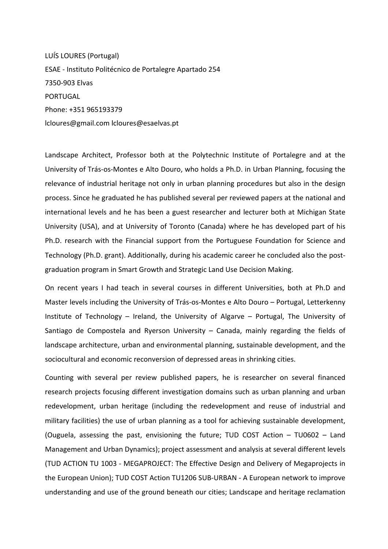LUÍS LOURES (Portugal) ESAE - Instituto Politécnico de Portalegre Apartado 254 7350-903 Elvas PORTUGAL Phone: +351 965193379 lcloures@gmail.com lcloures@esaelvas.pt

Landscape Architect, Professor both at the Polytechnic Institute of Portalegre and at the University of Trás-os-Montes e Alto Douro, who holds a Ph.D. in Urban Planning, focusing the relevance of industrial heritage not only in urban planning procedures but also in the design process. Since he graduated he has published several per reviewed papers at the national and international levels and he has been a guest researcher and lecturer both at Michigan State University (USA), and at University of Toronto (Canada) where he has developed part of his Ph.D. research with the Financial support from the Portuguese Foundation for Science and Technology (Ph.D. grant). Additionally, during his academic career he concluded also the postgraduation program in Smart Growth and Strategic Land Use Decision Making.

On recent years I had teach in several courses in different Universities, both at Ph.D and Master levels including the University of Trás-os-Montes e Alto Douro – Portugal, Letterkenny Institute of Technology – Ireland, the University of Algarve – Portugal, The University of Santiago de Compostela and Ryerson University – Canada, mainly regarding the fields of landscape architecture, urban and environmental planning, sustainable development, and the sociocultural and economic reconversion of depressed areas in shrinking cities.

Counting with several per review published papers, he is researcher on several financed research projects focusing different investigation domains such as urban planning and urban redevelopment, urban heritage (including the redevelopment and reuse of industrial and military facilities) the use of urban planning as a tool for achieving sustainable development, (Ouguela, assessing the past, envisioning the future; TUD COST Action  $-$  TU0602  $-$  Land Management and Urban Dynamics); project assessment and analysis at several different levels (TUD ACTION TU 1003 - MEGAPROJECT: The Effective Design and Delivery of Megaprojects in the European Union); TUD COST Action TU1206 SUB-URBAN - A European network to improve understanding and use of the ground beneath our cities; Landscape and heritage reclamation